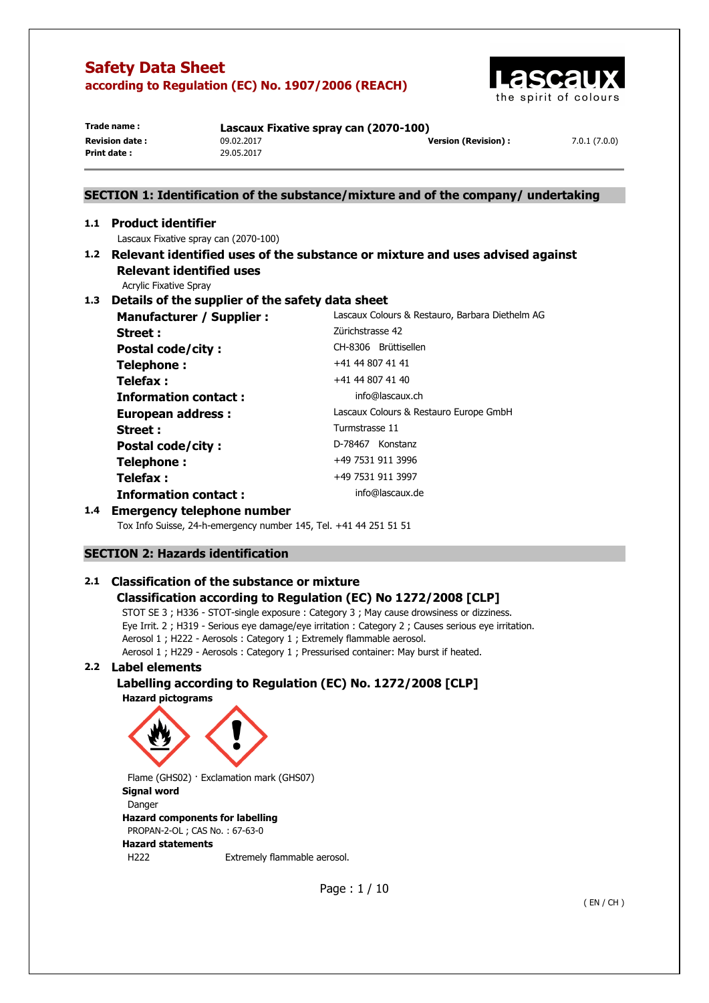

| Trade name:           | Lascaux Fixative spray can (2070-100) |                     |              |
|-----------------------|---------------------------------------|---------------------|--------------|
| <b>Revision date:</b> | 09.02.2017                            | Version (Revision): | 7.0.1(7.0.0) |
| Print date:           | 29.05.2017                            |                     |              |

## **SECTION 1: Identification of the substance/mixture and of the company/ undertaking**

## **1.1 Product identifier**  Lascaux Fixative spray can (2070-100) **1.2 Relevant identified uses of the substance or mixture and uses advised against Relevant identified uses**

Acrylic Fixative Spray

## **1.3 Details of the supplier of the safety data sheet**

| Lascaux Colours & Restauro, Barbara Diethelm AG |
|-------------------------------------------------|
| Zürichstrasse 42                                |
| CH-8306 Brüttisellen                            |
| +41 44 807 41 41                                |
| +41 44 807 41 40                                |
| info@lascaux.ch                                 |
| Lascaux Colours & Restauro Europe GmbH          |
| Turmstrasse 11                                  |
| D-78467 Konstanz                                |
| +49 7531 911 3996                               |
| +49 7531 911 3997                               |
| info@lascaux.de                                 |
|                                                 |

## **1.4 Emergency telephone number**

Tox Info Suisse, 24-h-emergency number 145, Tel. +41 44 251 51 51

## **SECTION 2: Hazards identification**

## **2.1 Classification of the substance or mixture Classification according to Regulation (EC) No 1272/2008 [CLP]**

STOT SE 3 ; H336 - STOT-single exposure : Category 3 ; May cause drowsiness or dizziness. Eye Irrit. 2 ; H319 - Serious eye damage/eye irritation : Category 2 ; Causes serious eye irritation. Aerosol 1 ; H222 - Aerosols : Category 1 ; Extremely flammable aerosol. Aerosol 1 ; H229 - Aerosols : Category 1 ; Pressurised container: May burst if heated.

## **2.2 Label elements**

## **Labelling according to Regulation (EC) No. 1272/2008 [CLP] Hazard pictograms**



Flame (GHS02) · Exclamation mark (GHS07) **Signal word**  Danger **Hazard components for labelling**  PROPAN-2-OL ; CAS No. : 67-63-0 **Hazard statements**  H222 Extremely flammable aerosol.

Page : 1 / 10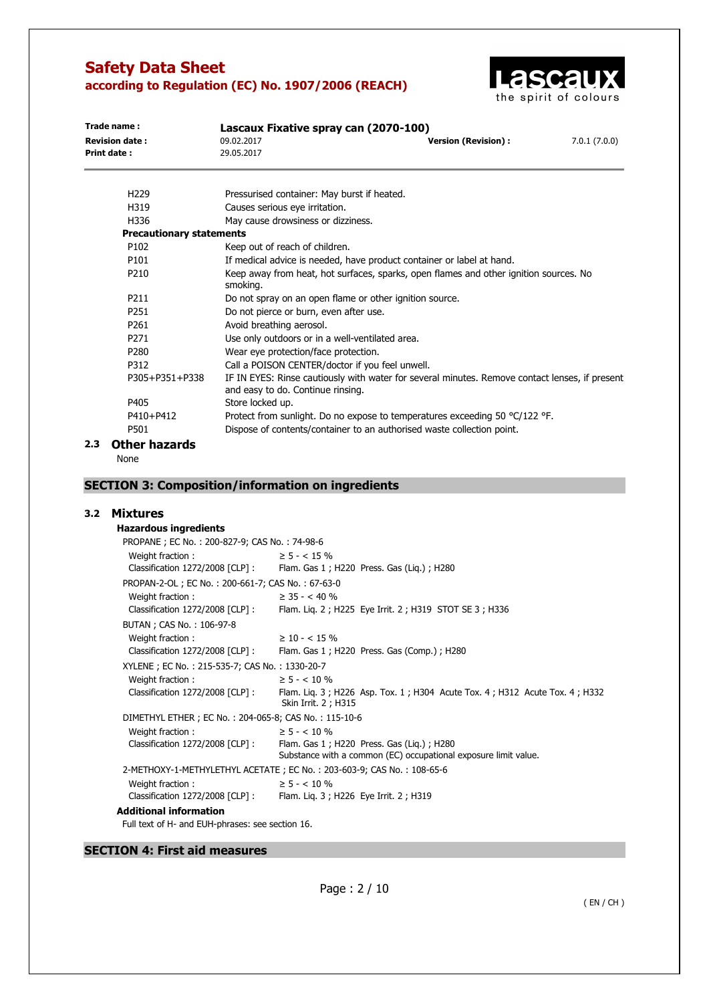

| Trade name:<br>Lascaux Fixative spray can (2070-100) |                                 |                                                         |                                                                                                |              |
|------------------------------------------------------|---------------------------------|---------------------------------------------------------|------------------------------------------------------------------------------------------------|--------------|
| <b>Revision date:</b>                                |                                 | 09.02.2017                                              | <b>Version (Revision):</b>                                                                     | 7.0.1(7.0.0) |
| <b>Print date:</b>                                   |                                 | 29.05.2017                                              |                                                                                                |              |
|                                                      | H <sub>229</sub>                | Pressurised container: May burst if heated.             |                                                                                                |              |
|                                                      | H319                            | Causes serious eye irritation.                          |                                                                                                |              |
|                                                      | H336                            | May cause drowsiness or dizziness.                      |                                                                                                |              |
|                                                      | <b>Precautionary statements</b> |                                                         |                                                                                                |              |
|                                                      | P102                            | Keep out of reach of children.                          |                                                                                                |              |
|                                                      | P101                            |                                                         | If medical advice is needed, have product container or label at hand.                          |              |
|                                                      | P <sub>210</sub>                | smoking.                                                | Keep away from heat, hot surfaces, sparks, open flames and other ignition sources. No          |              |
|                                                      | P211                            | Do not spray on an open flame or other ignition source. |                                                                                                |              |
|                                                      | P <sub>251</sub>                | Do not pierce or burn, even after use.                  |                                                                                                |              |
|                                                      | P <sub>261</sub>                | Avoid breathing aerosol.                                |                                                                                                |              |
|                                                      | P <sub>271</sub>                | Use only outdoors or in a well-ventilated area.         |                                                                                                |              |
|                                                      | P <sub>280</sub>                | Wear eye protection/face protection.                    |                                                                                                |              |
|                                                      | P312                            | Call a POISON CENTER/doctor if you feel unwell.         |                                                                                                |              |
|                                                      | P305+P351+P338                  | and easy to do. Continue rinsing.                       | IF IN EYES: Rinse cautiously with water for several minutes. Remove contact lenses, if present |              |
|                                                      | P405                            | Store locked up.                                        |                                                                                                |              |
|                                                      | P410+P412                       |                                                         | Protect from sunlight. Do no expose to temperatures exceeding 50 °C/122 °F.                    |              |
|                                                      | P501                            |                                                         | Dispose of contents/container to an authorised waste collection point.                         |              |
| 2.3                                                  | <b>Other hazards</b>            |                                                         |                                                                                                |              |

None

## **SECTION 3: Composition/information on ingredients**

## **3.2 Mixtures**

| <b>Hazardous ingredients</b>                         |                                                                                                              |
|------------------------------------------------------|--------------------------------------------------------------------------------------------------------------|
| PROPANE ; EC No.: 200-827-9; CAS No.: 74-98-6        |                                                                                                              |
| Weight fraction:                                     | $\geq$ 5 - < 15 %                                                                                            |
|                                                      | Classification 1272/2008 [CLP]: Flam. Gas 1; H220 Press. Gas (Lig.); H280                                    |
| PROPAN-2-OL; EC No.: 200-661-7; CAS No.: 67-63-0     |                                                                                                              |
| Weight fraction:                                     | $\geq$ 35 - < 40 %                                                                                           |
| Classification 1272/2008 [CLP]:                      | Flam. Lig. 2; H225 Eye Irrit. 2; H319 STOT SE 3; H336                                                        |
| BUTAN; CAS No.: 106-97-8                             |                                                                                                              |
| Weight fraction:                                     | $\geq$ 10 - < 15 %                                                                                           |
|                                                      | Classification 1272/2008 [CLP] : Flam. Gas 1 ; H220 Press. Gas (Comp.) ; H280                                |
| XYLENE; EC No.: 215-535-7; CAS No.: 1330-20-7        |                                                                                                              |
| Weight fraction:                                     | $\geq$ 5 - < 10 %                                                                                            |
| Classification 1272/2008 [CLP] :                     | Flam. Lig. 3; H226 Asp. Tox. 1; H304 Acute Tox. 4; H312 Acute Tox. 4; H332<br>Skin Irrit. 2 ; H315           |
| DIMETHYL ETHER; EC No.: 204-065-8; CAS No.: 115-10-6 |                                                                                                              |
| Weight fraction:                                     | $\geq$ 5 - < 10 %                                                                                            |
| Classification 1272/2008 [CLP] :                     | Flam. Gas 1; H220 Press. Gas (Liq.); H280<br>Substance with a common (EC) occupational exposure limit value. |
|                                                      | 2-METHOXY-1-METHYLETHYL ACETATE; EC No.: 203-603-9; CAS No.: 108-65-6                                        |
| Weight fraction:                                     | $\geq$ 5 - < 10 %                                                                                            |
|                                                      | Classification 1272/2008 [CLP] : Flam. Liq. 3 ; H226 Eye Irrit. 2 ; H319                                     |
| <b>Additional information</b>                        |                                                                                                              |
| Full text of H- and EUH-phrases: see section 16.     |                                                                                                              |

## **SECTION 4: First aid measures**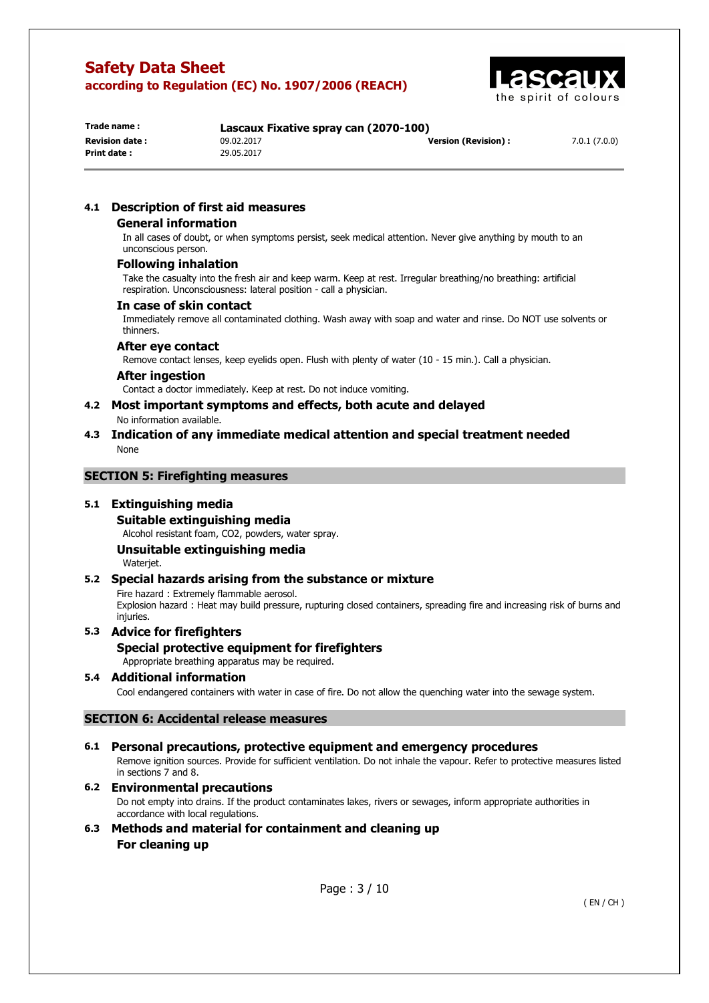

| Trade name :          | Lascaux Fixative spray can (2070-100) |                            |              |
|-----------------------|---------------------------------------|----------------------------|--------------|
| <b>Revision date:</b> | 09.02.2017                            | <b>Version (Revision):</b> | 7.0.1(7.0.0) |
| Print date:           | 29.05.2017                            |                            |              |
|                       |                                       |                            |              |

## **4.1 Description of first aid measures**

### **General information**

In all cases of doubt, or when symptoms persist, seek medical attention. Never give anything by mouth to an unconscious person.

#### **Following inhalation**

Take the casualty into the fresh air and keep warm. Keep at rest. Irregular breathing/no breathing: artificial respiration. Unconsciousness: lateral position - call a physician.

#### **In case of skin contact**

Immediately remove all contaminated clothing. Wash away with soap and water and rinse. Do NOT use solvents or thinners.

#### **After eye contact**

Remove contact lenses, keep eyelids open. Flush with plenty of water (10 - 15 min.). Call a physician.

#### **After ingestion**

Contact a doctor immediately. Keep at rest. Do not induce vomiting.

- **4.2 Most important symptoms and effects, both acute and delayed**  No information available.
- **4.3 Indication of any immediate medical attention and special treatment needed**  None

## **SECTION 5: Firefighting measures**

## **5.1 Extinguishing media**

**Suitable extinguishing media** 

Alcohol resistant foam, CO2, powders, water spray.

# **Unsuitable extinguishing media**

Waterjet.

## **5.2 Special hazards arising from the substance or mixture**

Fire hazard : Extremely flammable aerosol. Explosion hazard : Heat may build pressure, rupturing closed containers, spreading fire and increasing risk of burns and injuries.

## **5.3 Advice for firefighters**

## **Special protective equipment for firefighters**

Appropriate breathing apparatus may be required.

## **5.4 Additional information**

Cool endangered containers with water in case of fire. Do not allow the quenching water into the sewage system.

## **SECTION 6: Accidental release measures**

#### **6.1 Personal precautions, protective equipment and emergency procedures**  Remove ignition sources. Provide for sufficient ventilation. Do not inhale the vapour. Refer to protective measures listed in sections 7 and 8.

## **6.2 Environmental precautions**

Do not empty into drains. If the product contaminates lakes, rivers or sewages, inform appropriate authorities in accordance with local regulations.

**6.3 Methods and material for containment and cleaning up For cleaning up**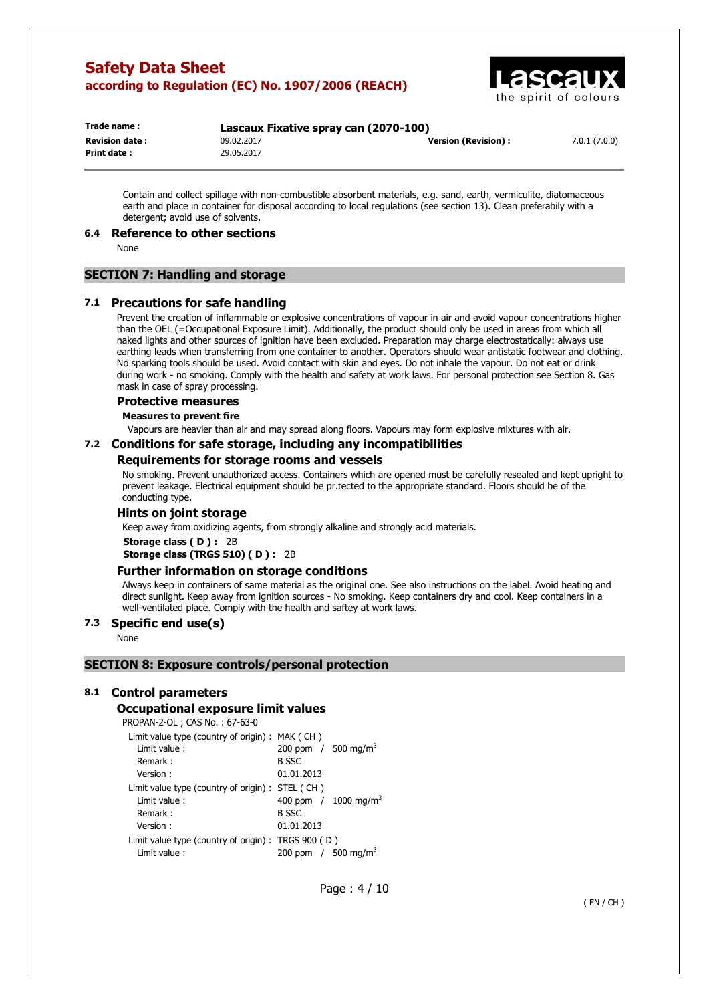

| Trade name:           | Lascaux Fixative spray can (2070-100) |                     |              |
|-----------------------|---------------------------------------|---------------------|--------------|
| <b>Revision date:</b> | 09.02.2017                            | Version (Revision): | 7.0.1(7.0.0) |
| Print date:           | 29.05.2017                            |                     |              |

Contain and collect spillage with non-combustible absorbent materials, e.g. sand, earth, vermiculite, diatomaceous earth and place in container for disposal according to local regulations (see section 13). Clean preferabily with a detergent; avoid use of solvents.

#### **6.4 Reference to other sections**

None

## **SECTION 7: Handling and storage**

#### **7.1 Precautions for safe handling**

Prevent the creation of inflammable or explosive concentrations of vapour in air and avoid vapour concentrations higher than the OEL (=Occupational Exposure Limit). Additionally, the product should only be used in areas from which all naked lights and other sources of ignition have been excluded. Preparation may charge electrostatically: always use earthing leads when transferring from one container to another. Operators should wear antistatic footwear and clothing. No sparking tools should be used. Avoid contact with skin and eyes. Do not inhale the vapour. Do not eat or drink during work - no smoking. Comply with the health and safety at work laws. For personal protection see Section 8. Gas mask in case of spray processing.

#### **Protective measures**

**Measures to prevent fire** 

Vapours are heavier than air and may spread along floors. Vapours may form explosive mixtures with air.

#### **7.2 Conditions for safe storage, including any incompatibilities**

#### **Requirements for storage rooms and vessels**

No smoking. Prevent unauthorized access. Containers which are opened must be carefully resealed and kept upright to prevent leakage. Electrical equipment should be pr.tected to the appropriate standard. Floors should be of the conducting type.

### **Hints on joint storage**

Keep away from oxidizing agents, from strongly alkaline and strongly acid materials.

**Storage class ( D ) :** 2B

**Storage class (TRGS 510) ( D ) :** 2B

#### **Further information on storage conditions**

Always keep in containers of same material as the original one. See also instructions on the label. Avoid heating and direct sunlight. Keep away from ignition sources - No smoking. Keep containers dry and cool. Keep containers in a well-ventilated place. Comply with the health and saftey at work laws.

## **7.3 Specific end use(s)**

None

#### **SECTION 8: Exposure controls/personal protection**

#### **8.1 Control parameters**

#### **Occupational exposure limit values**

PROPAN-2-OL ; CAS No. : 67-63-0

| Limit value type (country of origin) : MAK (CH)       |                                   |
|-------------------------------------------------------|-----------------------------------|
| Limit value:                                          | 200 ppm $/$ 500 mg/m <sup>3</sup> |
| Remark:                                               | <b>B SSC</b>                      |
| Version:                                              | 01.01.2013                        |
| Limit value type (country of origin) : STEL (CH)      |                                   |
| Limit value:                                          | 400 ppm $/1000 \text{ mg/m}^3$    |
| Remark:                                               | <b>B SSC</b>                      |
| Version:                                              | 01.01.2013                        |
| Limit value type (country of origin) : TRGS $900$ (D) |                                   |
| Limit value :                                         | 200 ppm / 500 mg/m <sup>3</sup>   |

Page : 4 / 10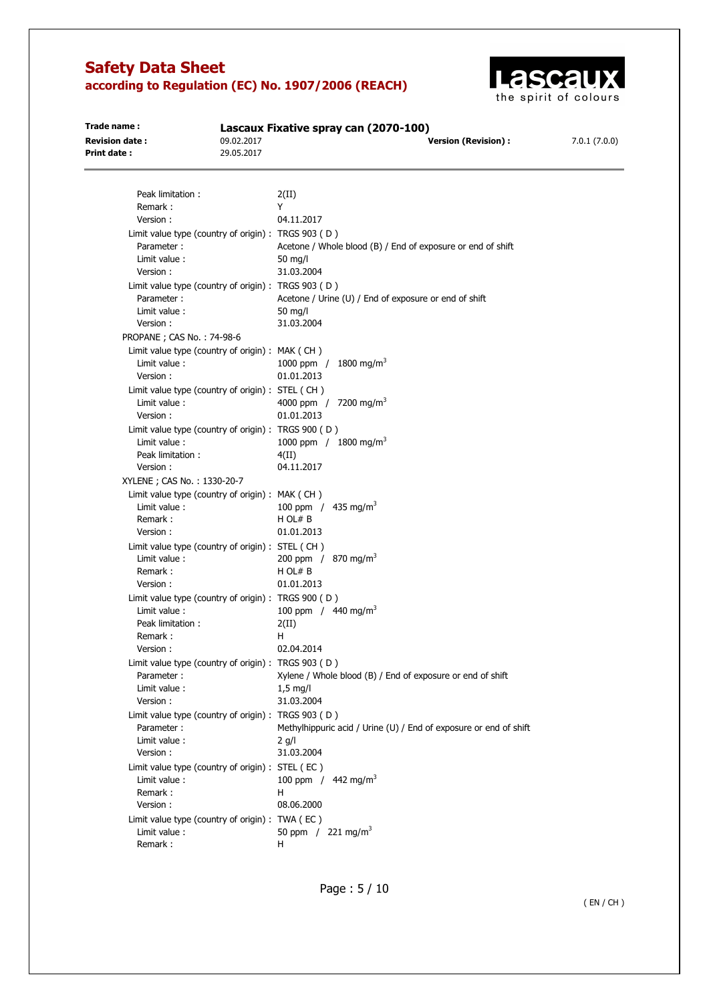

| Trade name:<br><b>Revision date:</b><br>Print date: | 09.02.2017<br>29.05.2017 | Lascaux Fixative spray can (2070-100)<br><b>Version (Revision):</b> | 7.0.1(7.0.0) |
|-----------------------------------------------------|--------------------------|---------------------------------------------------------------------|--------------|
|                                                     |                          |                                                                     |              |
| Peak limitation:                                    |                          | 2(II)                                                               |              |
| Remark:                                             |                          | Y                                                                   |              |
| Version:                                            |                          | 04.11.2017                                                          |              |
| Limit value type (country of origin) : TRGS 903 (D) |                          |                                                                     |              |
| Parameter:                                          |                          | Acetone / Whole blood (B) / End of exposure or end of shift         |              |
| Limit value:                                        |                          | 50 $mq/l$                                                           |              |
| Version:                                            |                          | 31.03.2004                                                          |              |
| Limit value type (country of origin) : TRGS 903 (D) |                          |                                                                     |              |
| Parameter:                                          |                          | Acetone / Urine (U) / End of exposure or end of shift               |              |
| Limit value :                                       |                          | 50 mg/l                                                             |              |
| Version:                                            |                          | 31.03.2004                                                          |              |
| PROPANE ; CAS No.: 74-98-6                          |                          |                                                                     |              |
| Limit value type (country of origin) : MAK (CH)     |                          |                                                                     |              |
| Limit value :                                       |                          | 1000 ppm / 1800 mg/m <sup>3</sup>                                   |              |
| Version:                                            |                          | 01.01.2013                                                          |              |
| Limit value type (country of origin) : STEL (CH)    |                          |                                                                     |              |
| Limit value:                                        |                          | 4000 ppm / 7200 mg/m <sup>3</sup>                                   |              |
| Version:                                            |                          | 01.01.2013                                                          |              |
| Limit value type (country of origin) : TRGS 900 (D) |                          |                                                                     |              |
| Limit value :                                       |                          | 1000 ppm / 1800 mg/m <sup>3</sup>                                   |              |
| Peak limitation :                                   |                          | 4(II)                                                               |              |
| Version:                                            |                          | 04.11.2017                                                          |              |
| XYLENE; CAS No.: 1330-20-7                          |                          |                                                                     |              |
| Limit value type (country of origin) : MAK (CH)     |                          |                                                                     |              |
| Limit value :                                       |                          | 100 ppm / $435 \text{ mg/m}^3$                                      |              |
| Remark:                                             |                          | H OL# B                                                             |              |
| Version:                                            |                          | 01.01.2013                                                          |              |
| Limit value type (country of origin) : STEL (CH)    |                          |                                                                     |              |
| Limit value:                                        |                          | 200 ppm / 870 mg/m <sup>3</sup>                                     |              |
| Remark:                                             |                          | H OL# B                                                             |              |
| Version:                                            |                          | 01.01.2013                                                          |              |
| Limit value type (country of origin) : TRGS 900 (D) |                          |                                                                     |              |
| Limit value:                                        |                          | 100 ppm / $440$ mg/m <sup>3</sup>                                   |              |
| Peak limitation :                                   |                          | 2(II)                                                               |              |
| Remark:                                             |                          | н                                                                   |              |
| Version:                                            |                          | 02.04.2014                                                          |              |
| Limit value type (country of origin) : TRGS 903 (D) |                          |                                                                     |              |
| Parameter:                                          |                          | Xylene / Whole blood (B) / End of exposure or end of shift          |              |
| Limit value :                                       |                          | $1.5$ mg/l                                                          |              |
| Version:                                            |                          | 31.03.2004                                                          |              |
| Limit value type (country of origin) : TRGS 903 (D) |                          |                                                                     |              |
| Parameter:                                          |                          | Methylhippuric acid / Urine (U) / End of exposure or end of shift   |              |
| Limit value :                                       |                          | $2$ g/l                                                             |              |
| Version:                                            |                          | 31.03.2004                                                          |              |
| Limit value type (country of origin) : STEL (EC)    |                          |                                                                     |              |
| Limit value:                                        |                          | 100 ppm / $442 \text{ mg/m}^3$                                      |              |
| Remark:                                             |                          | н                                                                   |              |
| Version:                                            |                          | 08.06.2000                                                          |              |
| Limit value type (country of origin) : TWA (EC)     |                          |                                                                     |              |
| Limit value:                                        |                          | 50 ppm / 221 mg/m <sup>3</sup>                                      |              |

Remark : H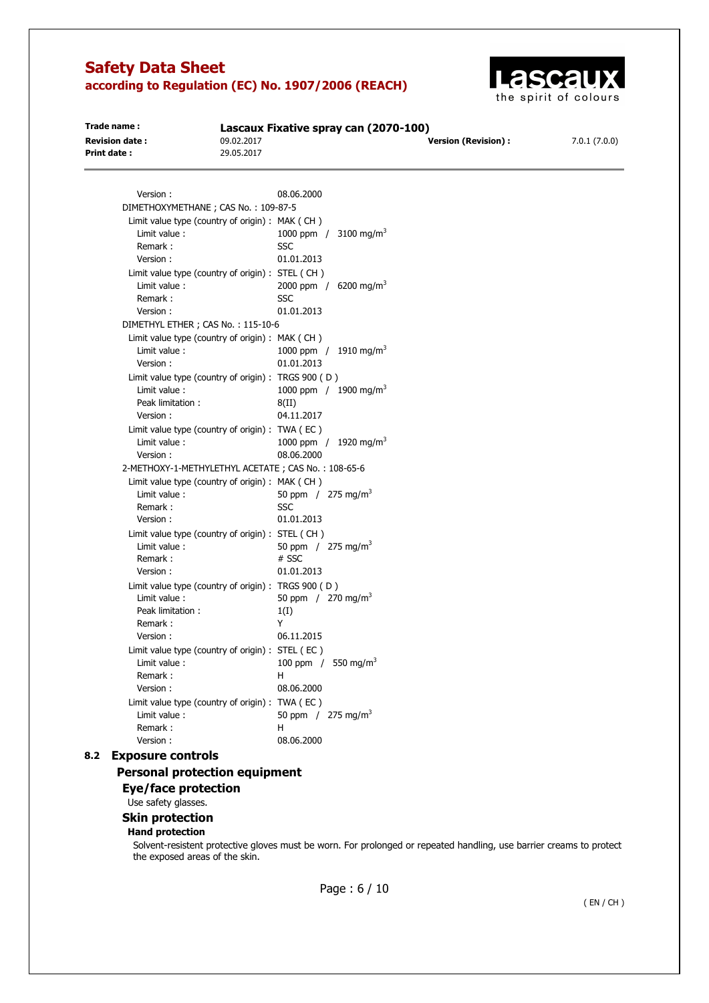

| Trade name:           | Lascaux Fixative spray can (2070-100) |                      |              |
|-----------------------|---------------------------------------|----------------------|--------------|
| <b>Revision date:</b> | 09.02.2017                            | Version (Revision) : | 7.0.1(7.0.0) |
| Print date:           | 29.05.2017                            |                      |              |
|                       |                                       |                      |              |

| Version :                                           | 08.06.2000                        |
|-----------------------------------------------------|-----------------------------------|
| DIMETHOXYMETHANE; CAS No.: 109-87-5                 |                                   |
| Limit value type (country of origin) : MAK (CH)     |                                   |
| Limit value:                                        | 1000 ppm / 3100 mg/m <sup>3</sup> |
| Remark:                                             | SSC                               |
| Version:                                            | 01.01.2013                        |
| Limit value type (country of origin) : STEL (CH)    |                                   |
| Limit value:                                        | 2000 ppm / 6200 mg/m <sup>3</sup> |
| Remark:                                             | SSC                               |
| Version:                                            | 01.01.2013                        |
| DIMETHYL ETHER ; CAS No.: 115-10-6                  |                                   |
| Limit value type (country of origin) : MAK (CH)     |                                   |
| Limit value:                                        | 1000 ppm / 1910 mg/m <sup>3</sup> |
| Version:                                            | 01.01.2013                        |
| Limit value type (country of origin) :              | TRGS 900 (D)                      |
| Limit value:                                        | 1000 ppm / 1900 mg/m <sup>3</sup> |
| Peak limitation:                                    | 8(II)                             |
| Version:                                            | 04.11.2017                        |
| Limit value type (country of origin) : TWA (EC)     |                                   |
| Limit value:                                        | 1000 ppm / 1920 mg/m <sup>3</sup> |
| Version:                                            | 08.06.2000                        |
| 2-METHOXY-1-METHYLETHYL ACETATE; CAS No.: 108-65-6  |                                   |
| Limit value type (country of origin) : MAK (CH)     |                                   |
| Limit value:                                        | 50 ppm / 275 mg/m <sup>3</sup>    |
| Remark:                                             | SSC                               |
| Version:                                            | 01.01.2013                        |
| Limit value type (country of origin) : STEL (CH)    |                                   |
| Limit value:                                        | 50 ppm / 275 mg/m <sup>3</sup>    |
| Remark:                                             | # SSC                             |
| Version:                                            | 01.01.2013                        |
| Limit value type (country of origin) : TRGS 900 (D) |                                   |
| Limit value:                                        | 50 ppm / 270 mg/m <sup>3</sup>    |
| Peak limitation:                                    | 1(I)                              |
| Remark:                                             | Υ                                 |
| Version:                                            | 06.11.2015                        |
| Limit value type (country of origin) : STEL (EC)    |                                   |
| Limit value:                                        | 100 ppm / 550 mg/m <sup>3</sup>   |
| Remark:                                             | н                                 |
| Version:                                            | 08.06.2000                        |
| Limit value type (country of origin) : TWA (EC)     |                                   |
| Limit value:                                        | 50 ppm / 275 mg/m <sup>3</sup>    |
| Remark:                                             | н                                 |
| Version:                                            | 08.06.2000                        |

## **8.2 Exposure controls**

## **Personal protection equipment**

**Eye/face protection** 

Use safety glasses.

### **Skin protection**

#### **Hand protection**

Solvent-resistent protective gloves must be worn. For prolonged or repeated handling, use barrier creams to protect the exposed areas of the skin.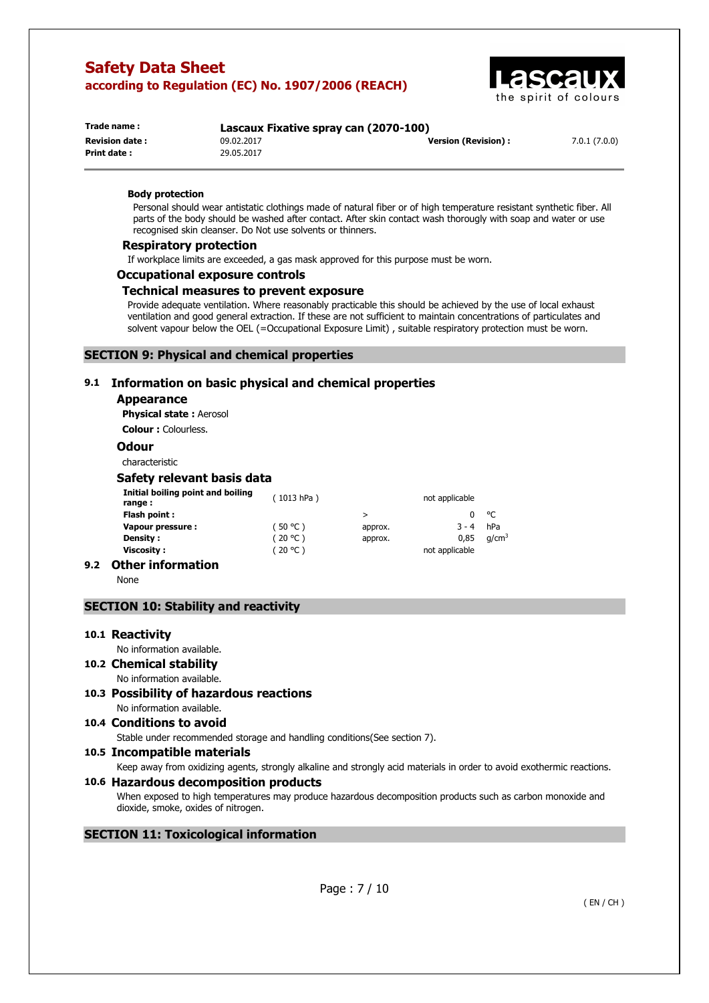

| Trade name:           | Lascaux Fixative spray can (2070-100) |                      |              |
|-----------------------|---------------------------------------|----------------------|--------------|
| <b>Revision date:</b> | 09.02.2017                            | Version (Revision) : | 7.0.1(7.0.0) |
| Print date:           | 29.05.2017                            |                      |              |

#### **Body protection**

Personal should wear antistatic clothings made of natural fiber or of high temperature resistant synthetic fiber. All parts of the body should be washed after contact. After skin contact wash thorougly with soap and water or use recognised skin cleanser. Do Not use solvents or thinners.

#### **Respiratory protection**

If workplace limits are exceeded, a gas mask approved for this purpose must be worn.

#### **Occupational exposure controls**

#### **Technical measures to prevent exposure**

Provide adequate ventilation. Where reasonably practicable this should be achieved by the use of local exhaust ventilation and good general extraction. If these are not sufficient to maintain concentrations of particulates and solvent vapour below the OEL (=Occupational Exposure Limit) , suitable respiratory protection must be worn.

#### **SECTION 9: Physical and chemical properties**

### **9.1 Information on basic physical and chemical properties**

#### **Appearance**

**Physical state :** Aerosol

**Colour :** Colourless.

#### **Odour**

characteristic

#### **Safety relevant basis data**

| Initial boiling point and boiling<br>range : | (1013 hPa) |         | not applicable |                   |
|----------------------------------------------|------------|---------|----------------|-------------------|
| Flash point :                                |            | >       |                | $^{\circ}$ C      |
| Vapour pressure :                            | (50 °C)    | approx. | $3 - 4$        | hPa               |
| Density :                                    | (20 °C)    | approx. | 0.85           | q/cm <sup>3</sup> |
| Viscositv :                                  | (20 °C)    |         | not applicable |                   |
|                                              |            |         |                |                   |

## **9.2 Other information**

None

### **SECTION 10: Stability and reactivity**

#### **10.1 Reactivity**

No information available.

- **10.2 Chemical stability**  No information available.
- **10.3 Possibility of hazardous reactions**  No information available.
- **10.4 Conditions to avoid**

Stable under recommended storage and handling conditions(See section 7).

#### **10.5 Incompatible materials**

Keep away from oxidizing agents, strongly alkaline and strongly acid materials in order to avoid exothermic reactions.

#### **10.6 Hazardous decomposition products**

When exposed to high temperatures may produce hazardous decomposition products such as carbon monoxide and dioxide, smoke, oxides of nitrogen.

#### **SECTION 11: Toxicological information**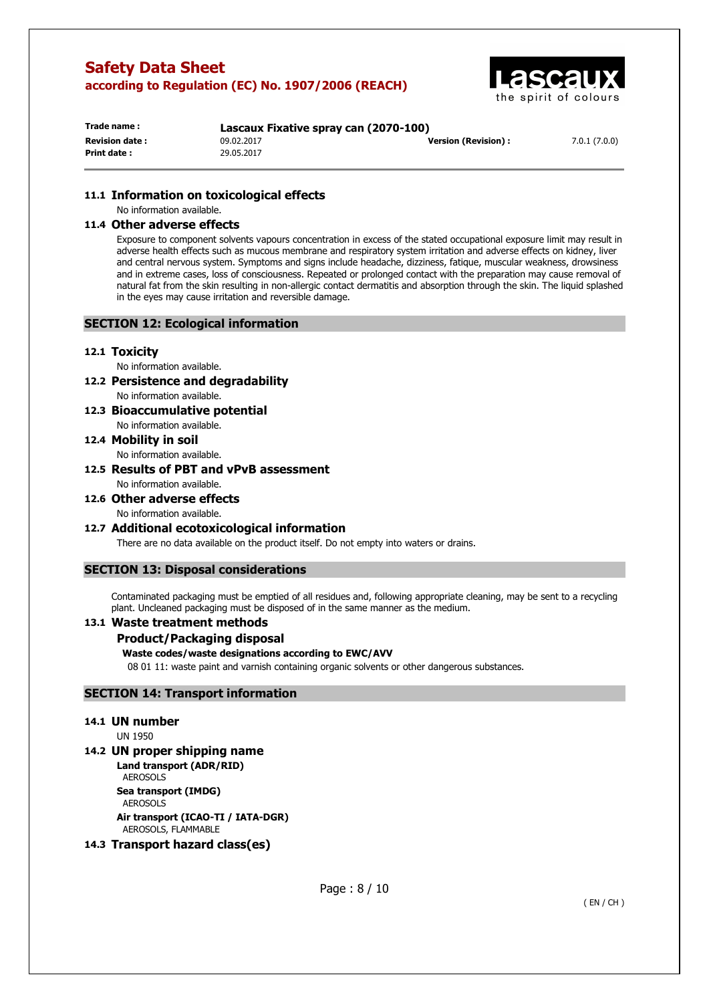

| Trade name :           | Lascaux Fixative spray can (2070-100) |                            |              |
|------------------------|---------------------------------------|----------------------------|--------------|
| <b>Revision date :</b> | 09.02.2017                            | <b>Version (Revision):</b> | 7.0.1(7.0.0) |
| Print date :           | 29.05.2017                            |                            |              |

## **11.1 Information on toxicological effects**

No information available.

## **11.4 Other adverse effects**

Exposure to component solvents vapours concentration in excess of the stated occupational exposure limit may result in adverse health effects such as mucous membrane and respiratory system irritation and adverse effects on kidney, liver and central nervous system. Symptoms and signs include headache, dizziness, fatique, muscular weakness, drowsiness and in extreme cases, loss of consciousness. Repeated or prolonged contact with the preparation may cause removal of natural fat from the skin resulting in non-allergic contact dermatitis and absorption through the skin. The liquid splashed in the eyes may cause irritation and reversible damage.

### **SECTION 12: Ecological information**

#### **12.1 Toxicity**

No information available.

- **12.2 Persistence and degradability**  No information available.
- **12.3 Bioaccumulative potential**  No information available.

## **12.4 Mobility in soil**

No information available.

- **12.5 Results of PBT and vPvB assessment**  No information available.
- **12.6 Other adverse effects**  No information available.

## **12.7 Additional ecotoxicological information**

There are no data available on the product itself. Do not empty into waters or drains.

## **SECTION 13: Disposal considerations**

Contaminated packaging must be emptied of all residues and, following appropriate cleaning, may be sent to a recycling plant. Uncleaned packaging must be disposed of in the same manner as the medium.

## **13.1 Waste treatment methods**

## **Product/Packaging disposal**

#### **Waste codes/waste designations according to EWC/AVV**

08 01 11: waste paint and varnish containing organic solvents or other dangerous substances.

## **SECTION 14: Transport information**

#### **14.1 UN number**

UN 1950

## **14.2 UN proper shipping name**

**Land transport (ADR/RID)**  AEROSOLS **Sea transport (IMDG)**  AEROSOLS

**Air transport (ICAO-TI / IATA-DGR)**  AEROSOLS, FLAMMABLE

## **14.3 Transport hazard class(es)**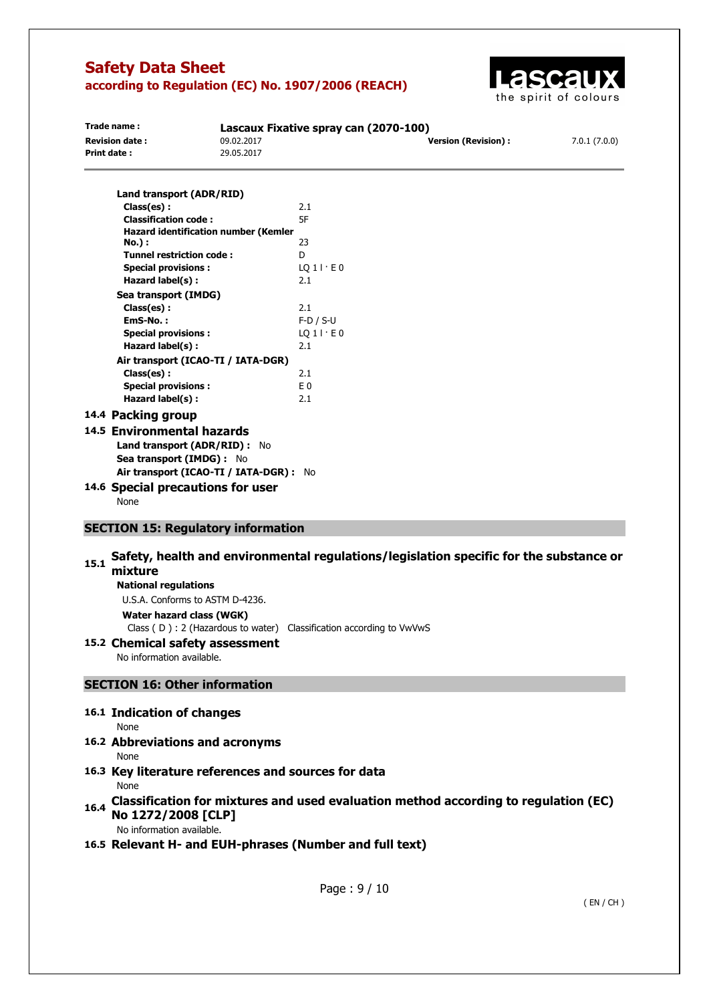

| Trade name:           | Lascaux Fixative spray can (2070-100) |                      |              |  |
|-----------------------|---------------------------------------|----------------------|--------------|--|
| <b>Revision date:</b> | 09.02.2017                            | Version (Revision) : | 7.0.1(7.0.0) |  |
| Print date:           | 29.05.2017                            |                      |              |  |
|                       | and transport (ADD /DTD)              |                      |              |  |

| Laliu (lalispoli (ADN/NID)                  |              |
|---------------------------------------------|--------------|
| Class(es):                                  | 2.1          |
| <b>Classification code:</b>                 | 5F           |
| <b>Hazard identification number (Kemler</b> |              |
| <b>No.</b> ) :                              | 23           |
| Tunnel restriction code:                    | D            |
| <b>Special provisions:</b>                  | LO 1 I E 0   |
| Hazard label(s):                            | 2.1          |
| Sea transport (IMDG)                        |              |
| Class(es):                                  | 2.1          |
| EmS-No.:                                    | $F-D / S-U$  |
| <b>Special provisions:</b>                  | $LQ1$   $E0$ |
| Hazard label(s):                            | 2.1          |
| Air transport (ICAO-TI / IATA-DGR)          |              |
| Class(es):                                  | 2.1          |
| <b>Special provisions:</b>                  | E 0          |
| Hazard label(s):                            | 2.1          |
| 14.4 Packing group                          |              |

## **14.5 Environmental hazards Land transport (ADR/RID) :** No **Sea transport (IMDG) :** No

- **Air transport (ICAO-TI / IATA-DGR) :** No
- **14.6 Special precautions for user**  None

## **SECTION 15: Regulatory information**

# 15.1 Safety, health and environmental regulations/legislation specific for the substance or **mixture**

## **National regulations**

U.S.A. Conforms to ASTM D-4236.

**Water hazard class (WGK)** 

Class ( D ) : 2 (Hazardous to water) Classification according to VwVwS

## **15.2 Chemical safety assessment**

No information available.

## **SECTION 16: Other information**

## **16.1 Indication of changes**

- None
- **16.2 Abbreviations and acronyms**  None
- **16.3 Key literature references and sources for data**  None
- **16.4 Classification for mixtures and used evaluation method according to regulation (EC) No 1272/2008 [CLP]**

No information available.

## **16.5 Relevant H- and EUH-phrases (Number and full text)**